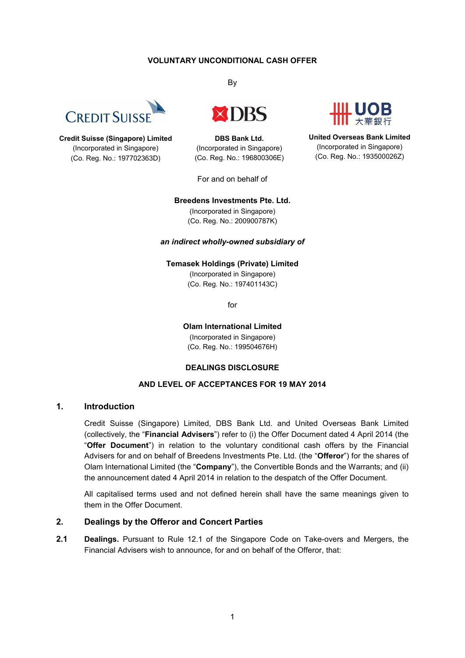## **VOLUNTARY UNCONDITIONAL CASH OFFER**



**Credit Suisse (Singapore) Limited** (Incorporated in Singapore) (Co. Reg. No.: 197702363D)

By



**DBS Bank Ltd.** (Incorporated in Singapore) (Co. Reg. No.: 196800306E)

For and on behalf of



**United Overseas Bank Limited** (Incorporated in Singapore) (Co. Reg. No.: 193500026Z)

#### **Breedens Investments Pte. Ltd.**

(Incorporated in Singapore) (Co. Reg. No.: 200900787K)

#### *an indirect wholly-owned subsidiary of*

**Temasek Holdings (Private) Limited**

(Incorporated in Singapore) (Co. Reg. No.: 197401143C)

for

**Olam International Limited** (Incorporated in Singapore) (Co. Reg. No.: 199504676H)

## **DEALINGS DISCLOSURE**

# **AND LEVEL OF ACCEPTANCES FOR 19 MAY 2014**

## **1. Introduction**

Credit Suisse (Singapore) Limited, DBS Bank Ltd. and United Overseas Bank Limited (collectively, the "**Financial Advisers**") refer to (i) the Offer Document dated 4 April 2014 (the "**Offer Document**") in relation to the voluntary conditional cash offers by the Financial Advisers for and on behalf of Breedens Investments Pte. Ltd. (the "**Offeror**") for the shares of Olam International Limited (the "**Company**"), the Convertible Bonds and the Warrants; and (ii) the announcement dated 4 April 2014 in relation to the despatch of the Offer Document.

All capitalised terms used and not defined herein shall have the same meanings given to them in the Offer Document.

## **2. Dealings by the Offeror and Concert Parties**

**2.1 Dealings.** Pursuant to Rule 12.1 of the Singapore Code on Take-overs and Mergers, the Financial Advisers wish to announce, for and on behalf of the Offeror, that: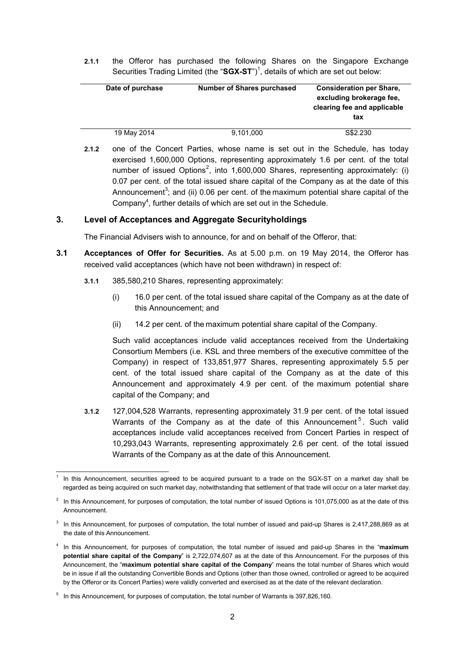**2.1.1** the Offeror has purchased the following Shares on the Singapore Exchange Securities Trading Limited (the "SGX-ST")<sup>1</sup>, details of which are set out below:

| Date of purchase | <b>Number of Shares purchased</b> | <b>Consideration per Share,</b> |  |  |
|------------------|-----------------------------------|---------------------------------|--|--|
|                  |                                   | excluding brokerage fee.        |  |  |
|                  |                                   | clearing fee and applicable     |  |  |
|                  |                                   | tax                             |  |  |
|                  |                                   |                                 |  |  |
| 19 May 2014      | 9,101,000                         | S\$2,230                        |  |  |

**2.1.2** one of the Concert Parties, whose name is set out in the Schedule, has today exercised 1,600,000 Options, representing approximately 1.6 per cent. of the total number of issued Options<sup>2</sup>, into 1,600,000 Shares, representing approximately: (i) 0.07 per cent. of the total issued share capital of the Company as at the date of this Announcement<sup>3</sup>; and (ii) 0.06 per cent. of the maximum potential share capital of the Company<sup>4</sup>, further details of which are set out in the Schedule.

## **3. Level of Acceptances and Aggregate Securityholdings**

The Financial Advisers wish to announce, for and on behalf of the Offeror, that:

- **3.1 Acceptances of Offer for Securities.** As at 5.00 p.m. on 19 May 2014, the Offeror has received valid acceptances (which have not been withdrawn) in respect of:
	- **3.1.1** 385,580,210 Shares, representing approximately:
		- (i) 16.0 per cent. of the total issued share capital of the Company as at the date of this Announcement; and
		- (ii) 14.2 per cent. of the maximum potential share capital of the Company.

Such valid acceptances include valid acceptances received from the Undertaking Consortium Members (i.e. KSL and three members of the executive committee of the Company) in respect of 133,851,977 Shares, representing approximately 5.5 per cent. of the total issued share capital of the Company as at the date of this Announcement and approximately 4.9 per cent. of the maximum potential share capital of the Company; and

**3.1.2** 127,004,528 Warrants, representing approximately 31.9 per cent. of the total issued Warrants of the Company as at the date of this Announcement<sup>5</sup>. Such valid acceptances include valid acceptances received from Concert Parties in respect of 10,293,043 Warrants, representing approximately 2.6 per cent. of the total issued Warrants of the Company as at the date of this Announcement.

<sup>-</sup>1 In this Announcement, securities agreed to be acquired pursuant to a trade on the SGX-ST on a market day shall be regarded as being acquired on such market day, notwithstanding that settlement of that trade will occur on a later market day.

 $2$  In this Announcement, for purposes of computation, the total number of issued Options is 101,075,000 as at the date of this Announcement.

 $3$  In this Announcement, for purposes of computation, the total number of issued and paid-up Shares is 2,417,288,869 as at the date of this Announcement.

<sup>4</sup> In this Announcement, for purposes of computation, the total number of issued and paid-up Shares in the "**maximum potential share capital of the Company**" is 2,722,074,607 as at the date of this Announcement. For the purposes of this Announcement, the "**maximum potential share capital of the Company**" means the total number of Shares which would be in issue if all the outstanding Convertible Bonds and Options (other than those owned, controlled or agreed to be acquired by the Offeror or its Concert Parties) were validly converted and exercised as at the date of the relevant declaration.

 $5$  In this Announcement, for purposes of computation, the total number of Warrants is 397,826,160.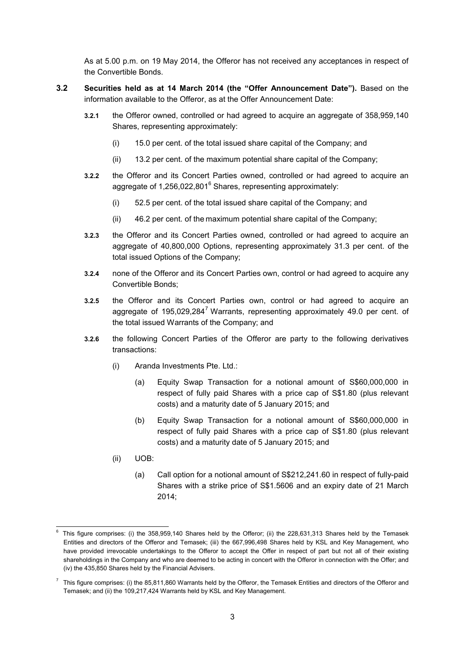As at 5.00 p.m. on 19 May 2014, the Offeror has not received any acceptances in respect of the Convertible Bonds.

- **3.2 Securities held as at 14 March 2014 (the "Offer Announcement Date").** Based on the information available to the Offeror, as at the Offer Announcement Date:
	- **3.2.1** the Offeror owned, controlled or had agreed to acquire an aggregate of 358,959,140 Shares, representing approximately:
		- (i) 15.0 per cent. of the total issued share capital of the Company; and
		- (ii) 13.2 per cent. of the maximum potential share capital of the Company;
	- **3.2.2** the Offeror and its Concert Parties owned, controlled or had agreed to acquire an aggregate of 1,256,022,801<sup>6</sup> Shares, representing approximately:
		- (i) 52.5 per cent. of the total issued share capital of the Company; and
		- (ii) 46.2 per cent. of the maximum potential share capital of the Company;
	- **3.2.3** the Offeror and its Concert Parties owned, controlled or had agreed to acquire an aggregate of 40,800,000 Options, representing approximately 31.3 per cent. of the total issued Options of the Company;
	- **3.2.4** none of the Offeror and its Concert Parties own, control or had agreed to acquire any Convertible Bonds;
	- **3.2.5** the Offeror and its Concert Parties own, control or had agreed to acquire an aggregate of 195,029,284<sup>7</sup> Warrants, representing approximately 49.0 per cent. of the total issued Warrants of the Company; and
	- **3.2.6** the following Concert Parties of the Offeror are party to the following derivatives transactions:
		- (i) Aranda Investments Pte. Ltd.:
			- (a) Equity Swap Transaction for a notional amount of S\$60,000,000 in respect of fully paid Shares with a price cap of S\$1.80 (plus relevant costs) and a maturity date of 5 January 2015; and
			- (b) Equity Swap Transaction for a notional amount of S\$60,000,000 in respect of fully paid Shares with a price cap of S\$1.80 (plus relevant costs) and a maturity date of 5 January 2015; and
		- (ii) UOB:
			- (a) Call option for a notional amount of S\$212,241.60 in respect of fully-paid Shares with a strike price of S\$1.5606 and an expiry date of 21 March 2014;

<sup>-</sup>6 This figure comprises: (i) the 358,959,140 Shares held by the Offeror; (ii) the 228,631,313 Shares held by the Temasek Entities and directors of the Offeror and Temasek; (iii) the 667,996,498 Shares held by KSL and Key Management, who have provided irrevocable undertakings to the Offeror to accept the Offer in respect of part but not all of their existing shareholdings in the Company and who are deemed to be acting in concert with the Offeror in connection with the Offer; and (iv) the 435,850 Shares held by the Financial Advisers.

 $^7$  This figure comprises: (i) the 85,811,860 Warrants held by the Offeror, the Temasek Entities and directors of the Offeror and Temasek; and (ii) the 109,217,424 Warrants held by KSL and Key Management.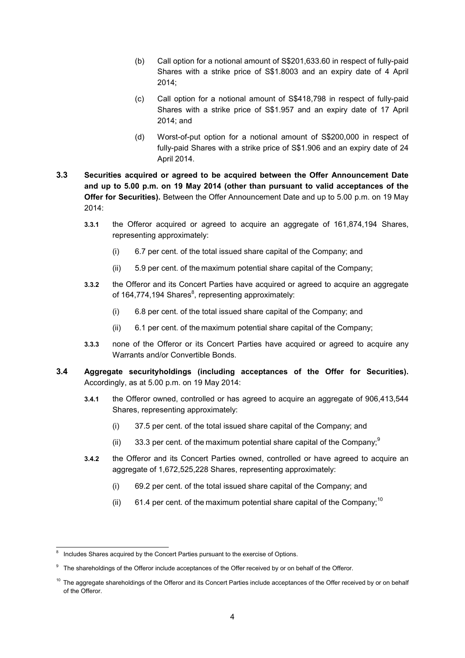- (b) Call option for a notional amount of S\$201,633.60 in respect of fully-paid Shares with a strike price of S\$1.8003 and an expiry date of 4 April 2014;
- (c) Call option for a notional amount of S\$418,798 in respect of fully-paid Shares with a strike price of S\$1.957 and an expiry date of 17 April 2014; and
- (d) Worst-of-put option for a notional amount of S\$200,000 in respect of fully-paid Shares with a strike price of S\$1.906 and an expiry date of 24 April 2014.
- **3.3 Securities acquired or agreed to be acquired between the Offer Announcement Date and up to 5.00 p.m. on 19 May 2014 (other than pursuant to valid acceptances of the Offer for Securities).** Between the Offer Announcement Date and up to 5.00 p.m. on 19 May 2014:
	- **3.3.1** the Offeror acquired or agreed to acquire an aggregate of 161,874,194 Shares, representing approximately:
		- (i) 6.7 per cent. of the total issued share capital of the Company; and
		- (ii) 5.9 per cent. of the maximum potential share capital of the Company;
	- **3.3.2** the Offeror and its Concert Parties have acquired or agreed to acquire an aggregate of 164,774,194 Shares ${}^{8}$ , representing approximately:
		- (i) 6.8 per cent. of the total issued share capital of the Company; and
		- (ii) 6.1 per cent. of the maximum potential share capital of the Company;
	- **3.3.3** none of the Offeror or its Concert Parties have acquired or agreed to acquire any Warrants and/or Convertible Bonds.
- **3.4 Aggregate securityholdings (including acceptances of the Offer for Securities).**  Accordingly, as at 5.00 p.m. on 19 May 2014:
	- **3.4.1** the Offeror owned, controlled or has agreed to acquire an aggregate of 906,413,544 Shares, representing approximately:
		- (i) 37.5 per cent. of the total issued share capital of the Company; and
		- (ii) 33.3 per cent. of the maximum potential share capital of the Company,  $9^{\circ}$
	- **3.4.2** the Offeror and its Concert Parties owned, controlled or have agreed to acquire an aggregate of 1,672,525,228 Shares, representing approximately:
		- (i) 69.2 per cent. of the total issued share capital of the Company; and
		- (ii) 61.4 per cent. of the maximum potential share capital of the Company;<sup>10</sup>

-

<sup>8</sup> Includes Shares acquired by the Concert Parties pursuant to the exercise of Options.

<sup>&</sup>lt;sup>9</sup> The shareholdings of the Offeror include acceptances of the Offer received by or on behalf of the Offeror.

 $10$  The aggregate shareholdings of the Offeror and its Concert Parties include acceptances of the Offer received by or on behalf of the Offeror.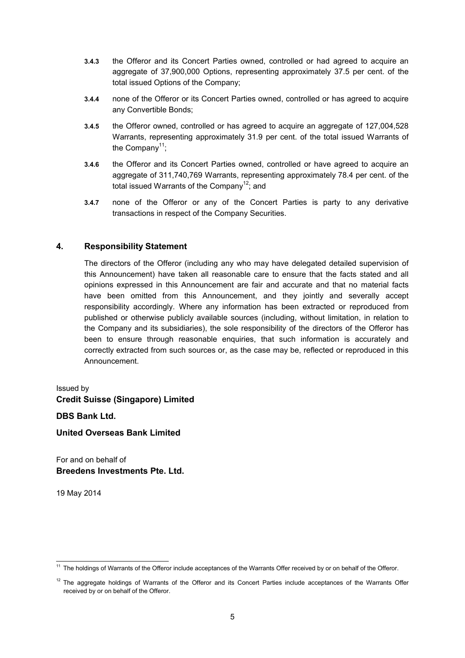- **3.4.3** the Offeror and its Concert Parties owned, controlled or had agreed to acquire an aggregate of 37,900,000 Options, representing approximately 37.5 per cent. of the total issued Options of the Company;
- **3.4.4** none of the Offeror or its Concert Parties owned, controlled or has agreed to acquire any Convertible Bonds;
- **3.4.5** the Offeror owned, controlled or has agreed to acquire an aggregate of 127,004,528 Warrants, representing approximately 31.9 per cent. of the total issued Warrants of the Company<sup>11</sup>;
- **3.4.6** the Offeror and its Concert Parties owned, controlled or have agreed to acquire an aggregate of 311,740,769 Warrants, representing approximately 78.4 per cent. of the total issued Warrants of the Company<sup>12</sup>; and
- **3.4.7** none of the Offeror or any of the Concert Parties is party to any derivative transactions in respect of the Company Securities.

# **4. Responsibility Statement**

The directors of the Offeror (including any who may have delegated detailed supervision of this Announcement) have taken all reasonable care to ensure that the facts stated and all opinions expressed in this Announcement are fair and accurate and that no material facts have been omitted from this Announcement, and they jointly and severally accept responsibility accordingly. Where any information has been extracted or reproduced from published or otherwise publicly available sources (including, without limitation, in relation to the Company and its subsidiaries), the sole responsibility of the directors of the Offeror has been to ensure through reasonable enquiries, that such information is accurately and correctly extracted from such sources or, as the case may be, reflected or reproduced in this Announcement.

# Issued by **Credit Suisse (Singapore) Limited**

**DBS Bank Ltd.**

**United Overseas Bank Limited**

For and on behalf of **Breedens Investments Pte. Ltd.**

19 May 2014

<sup>1</sup> <sup>11</sup> The holdings of Warrants of the Offeror include acceptances of the Warrants Offer received by or on behalf of the Offeror.

 $12$  The aggregate holdings of Warrants of the Offeror and its Concert Parties include acceptances of the Warrants Offer received by or on behalf of the Offeror.